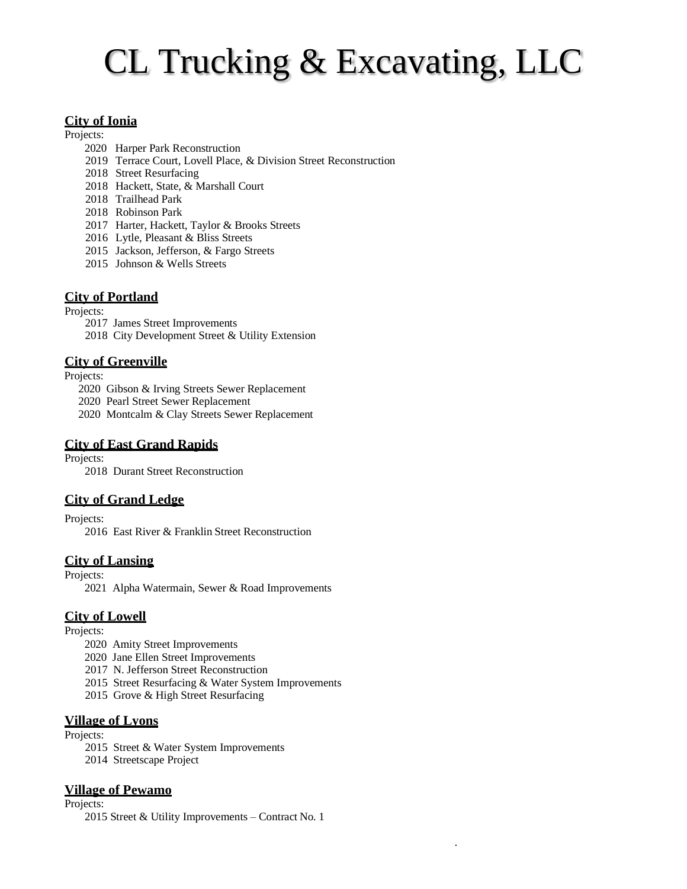# CL Trucking & Excavating, LLC

# **City of Ionia**

Projects:

- 2020 Harper Park Reconstruction
- 2019 Terrace Court, Lovell Place, & Division Street Reconstruction
- 2018 Street Resurfacing
- 2018 Hackett, State, & Marshall Court
- 2018 Trailhead Park
- 2018 Robinson Park
- 2017 Harter, Hackett, Taylor & Brooks Streets
- 2016 Lytle, Pleasant & Bliss Streets
- 2015 Jackson, Jefferson, & Fargo Streets
- 2015 Johnson & Wells Streets

# **City of Portland**

#### Projects:

- 2017 James Street Improvements
- 2018 City Development Street & Utility Extension

# **City of Greenville**

Projects:

- 2020 Gibson & Irving Streets Sewer Replacement
- 2020 Pearl Street Sewer Replacement
- 2020 Montcalm & Clay Streets Sewer Replacement

# **City of East Grand Rapids**

Projects:

2018 Durant Street Reconstruction

# **City of Grand Ledge**

Projects:

2016 East River & Franklin Street Reconstruction

# **City of Lansing**

Projects:

2021 Alpha Watermain, Sewer & Road Improvements

# **City of Lowell**

Projects:

- 2020 Amity Street Improvements
- 2020 Jane Ellen Street Improvements
- 2017 N. Jefferson Street Reconstruction
- 2015 Street Resurfacing & Water System Improvements
- 2015 Grove & High Street Resurfacing

### **Village of Lyons**

Projects:

- 2015 Street & Water System Improvements
- 2014 Streetscape Project

# **Village of Pewamo**

Projects:

2015 Street & Utility Improvements – Contract No. 1

.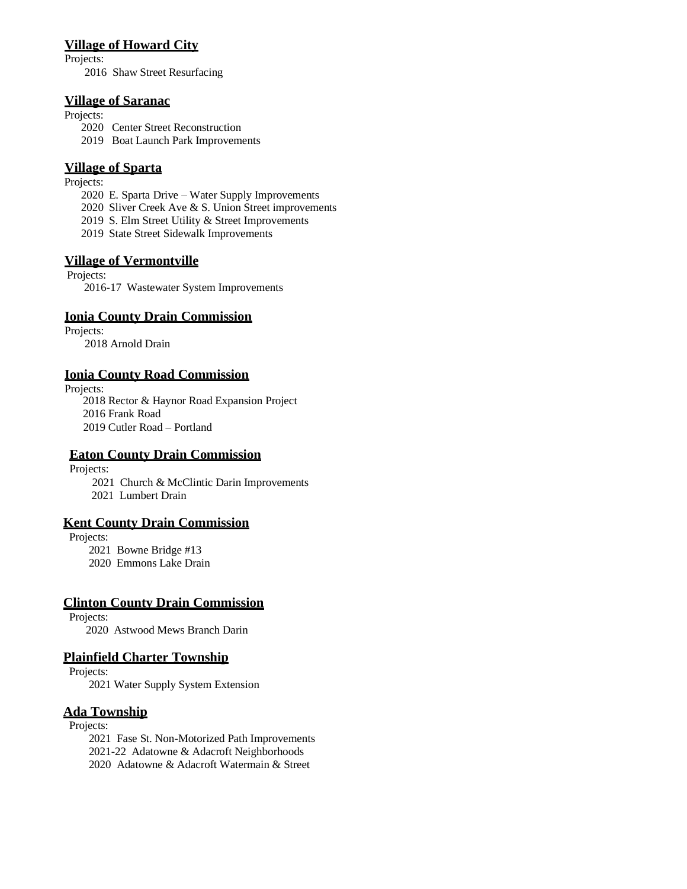#### **Village of Howard City**

Projects:

2016 Shaw Street Resurfacing

#### **Village of Saranac**

Projects:

- 2020 Center Street Reconstruction
- 2019 Boat Launch Park Improvements

# **Village of Sparta**

Projects:

- 2020 E. Sparta Drive Water Supply Improvements
- 2020 Sliver Creek Ave & S. Union Street improvements
- 2019 S. Elm Street Utility & Street Improvements
- 2019 State Street Sidewalk Improvements

# **Village of Vermontville**

Projects:

2016-17 Wastewater System Improvements

# **Ionia County Drain Commission**

Projects: 2018 Arnold Drain

# **Ionia County Road Commission**

Projects:

 2018 Rector & Haynor Road Expansion Project 2016 Frank Road 2019 Cutler Road – Portland

# **Eaton County Drain Commission**

Projects:

2021 Church & McClintic Darin Improvements

2021 Lumbert Drain

# **Kent County Drain Commission**

Projects:

2021 Bowne Bridge #13

2020 Emmons Lake Drain

# **Clinton County Drain Commission**

 Projects: 2020 Astwood Mews Branch Darin

# **Plainfield Charter Township**

Projects:

2021 Water Supply System Extension

# **Ada Township**

Projects:

 2021 Fase St. Non-Motorized Path Improvements 2021-22 Adatowne & Adacroft Neighborhoods 2020 Adatowne & Adacroft Watermain & Street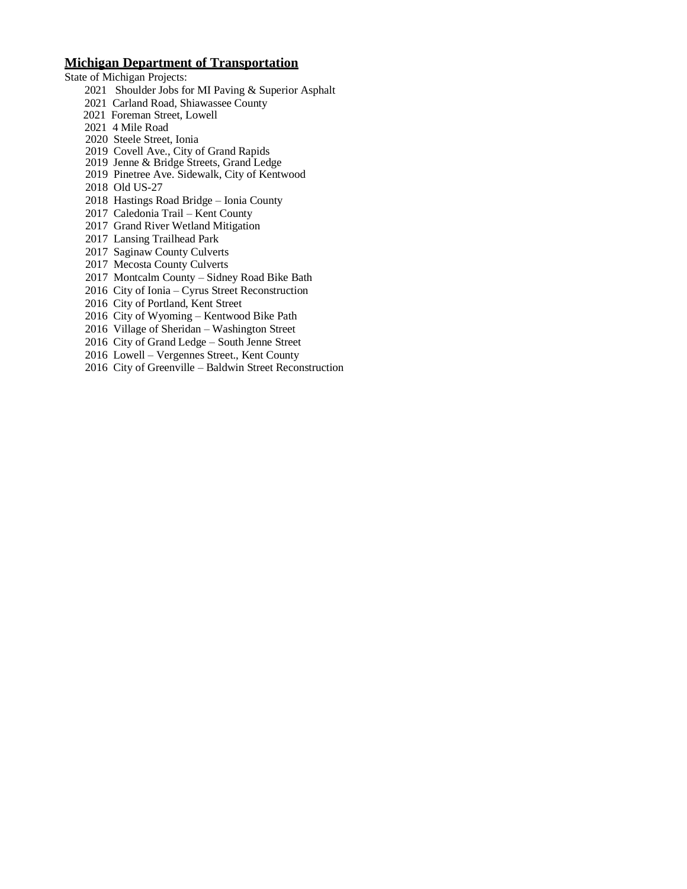### **Michigan Department of Transportation**

- State of Michigan Projects:
	- 2021 Shoulder Jobs for MI Paving & Superior Asphalt
	- 2021 Carland Road, Shiawassee County
	- 2021 Foreman Street, Lowell
	- 2021 4 Mile Road
	- 2020 Steele Street, Ionia
	- 2019 Covell Ave., City of Grand Rapids
	- 2019 Jenne & Bridge Streets, Grand Ledge
	- 2019 Pinetree Ave. Sidewalk, City of Kentwood
	- 2018 Old US-27
	- 2018 Hastings Road Bridge Ionia County
	- 2017 Caledonia Trail Kent County
	- 2017 Grand River Wetland Mitigation
	- 2017 Lansing Trailhead Park
	- 2017 Saginaw County Culverts
	- 2017 Mecosta County Culverts
	- 2017 Montcalm County Sidney Road Bike Bath
	- 2016 City of Ionia Cyrus Street Reconstruction
	- 2016 City of Portland, Kent Street
	- 2016 City of Wyoming Kentwood Bike Path
	- 2016 Village of Sheridan Washington Street
	- 2016 City of Grand Ledge South Jenne Street
	- 2016 Lowell Vergennes Street., Kent County
	- 2016 City of Greenville Baldwin Street Reconstruction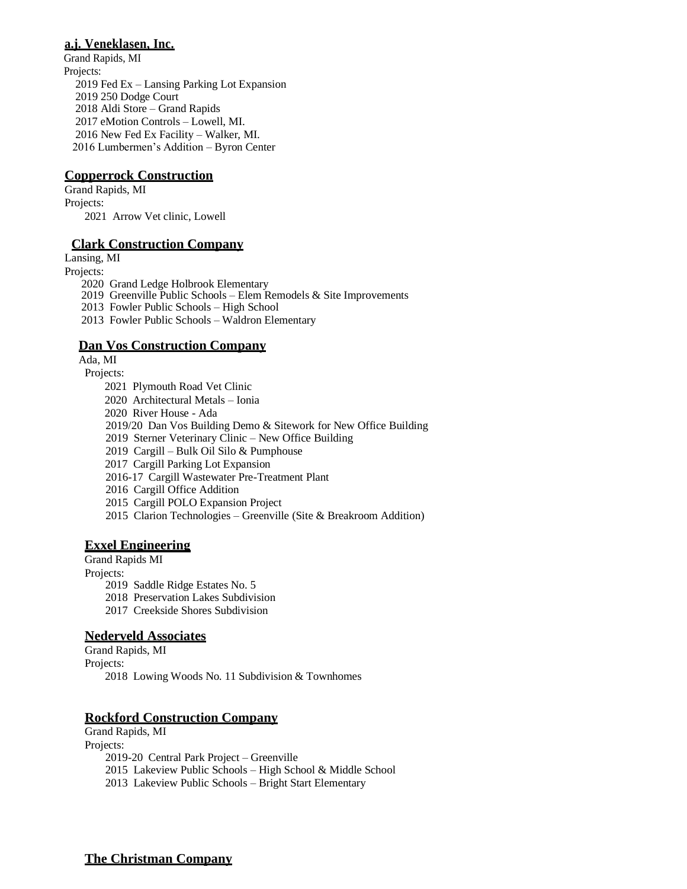# **a.j. Veneklasen, Inc.**

 Grand Rapids, MI Projects: 2019 Fed Ex – Lansing Parking Lot Expansion 2019 250 Dodge Court 2018 Aldi Store – Grand Rapids 2017 eMotion Controls – Lowell, MI. 2016 New Fed Ex Facility – Walker, MI. 2016 Lumbermen's Addition – Byron Center

# **Copperrock Construction**

Grand Rapids, MI Projects: 2021 Arrow Vet clinic, Lowell

#### **Clark Construction Company**

Lansing, MI

Projects:

2020 Grand Ledge Holbrook Elementary

2019 Greenville Public Schools – Elem Remodels & Site Improvements

2013 Fowler Public Schools – High School

2013 Fowler Public Schools – Waldron Elementary

# **Dan Vos Construction Company**

Ada, MI

Projects:

2021 Plymouth Road Vet Clinic

2020 Architectural Metals – Ionia

2020 River House - Ada

2019/20 Dan Vos Building Demo & Sitework for New Office Building

2019 Sterner Veterinary Clinic – New Office Building

2019 Cargill – Bulk Oil Silo & Pumphouse

2017 Cargill Parking Lot Expansion

2016-17 Cargill Wastewater Pre-Treatment Plant

2016 Cargill Office Addition

2015 Cargill POLO Expansion Project

2015 Clarion Technologies – Greenville (Site & Breakroom Addition)

# **Exxel Engineering**

Grand Rapids MI

Projects:

2019 Saddle Ridge Estates No. 5

2018 Preservation Lakes Subdivision

2017 Creekside Shores Subdivision

# **Nederveld Associates**

Grand Rapids, MI Projects: 2018 Lowing Woods No. 11 Subdivision & Townhomes

# **Rockford Construction Company**

Grand Rapids, MI Projects: 2019-20 Central Park Project – Greenville 2015 Lakeview Public Schools – High School & Middle School 2013 Lakeview Public Schools – Bright Start Elementary

# **The Christman Company**